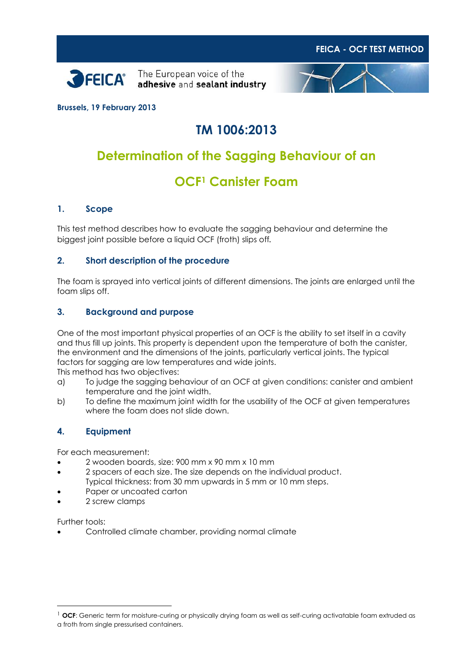





**Brussels, 19 February 2013**

# **TM 1006:2013**

### **Determination of the Sagging Behaviour of an**

## **OCF<sup>1</sup> Canister Foam**

#### **1. Scope**

This test method describes how to evaluate the sagging behaviour and determine the biggest joint possible before a liquid OCF (froth) slips off*.*

#### **2. Short description of the procedure**

The foam is sprayed into vertical joints of different dimensions. The joints are enlarged until the foam slips off.

#### **3. Background and purpose**

One of the most important physical properties of an OCF is the ability to set itself in a cavity and thus fill up joints. This property is dependent upon the temperature of both the canister, the environment and the dimensions of the joints, particularly vertical joints. The typical factors for sagging are low temperatures and wide joints. This method has two objectives:

a) To judge the sagging behaviour of an OCF at given conditions: canister and ambient temperature and the joint width.

b) To define the maximum joint width for the usability of the OCF at given temperatures where the foam does not slide down.

#### **4. Equipment**

For each measurement:

- 2 wooden boards, size: 900 mm x 90 mm x 10 mm
- 2 spacers of each size. The size depends on the individual product. Typical thickness: from 30 mm upwards in 5 mm or 10 mm steps.
- Paper or uncoated carton
- 2 screw clamps

Further tools:

-

Controlled climate chamber, providing normal climate

<sup>&</sup>lt;sup>1</sup> OCF: Generic term for moisture-curing or physically drying foam as well as self-curing activatable foam extruded as a froth from single pressurised containers.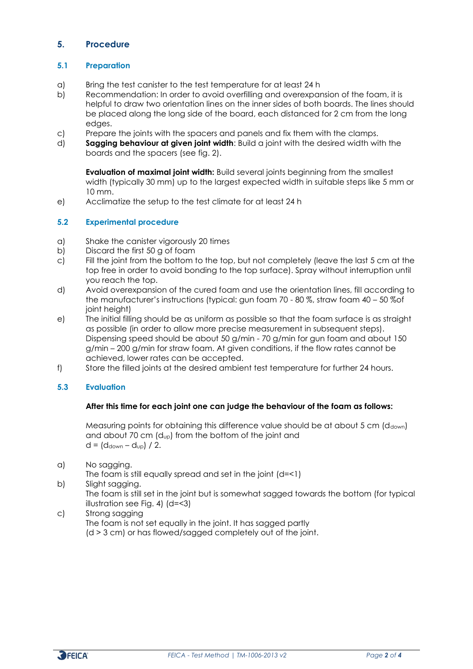### **5. Procedure**

#### **5.1 Preparation**

- a) Bring the test canister to the test temperature for at least 24 h
- b) Recommendation: In order to avoid overfilling and overexpansion of the foam, it is helpful to draw two orientation lines on the inner sides of both boards. The lines should be placed along the long side of the board, each distanced for 2 cm from the long edges.
- c) Prepare the joints with the spacers and panels and fix them with the clamps.
- d) **Sagging behaviour at given joint width**: Build a joint with the desired width with the boards and the spacers (see fig. 2).

**Evaluation of maximal joint width:** Build several joints beginning from the smallest width (typically 30 mm) up to the largest expected width in suitable steps like 5 mm or 10 mm.

e) Acclimatize the setup to the test climate for at least 24 h

#### **5.2 Experimental procedure**

- a) Shake the canister vigorously 20 times
- b) Discard the first 50 g of foam
- c) Fill the joint from the bottom to the top, but not completely (leave the last 5 cm at the top free in order to avoid bonding to the top surface). Spray without interruption until you reach the top.
- d) Avoid overexpansion of the cured foam and use the orientation lines, fill according to the manufacturer's instructions (typical: gun foam 70 - 80 %, straw foam 40 – 50 %of joint height)
- e) The initial filling should be as uniform as possible so that the foam surface is as straight as possible (in order to allow more precise measurement in subsequent steps). Dispensing speed should be about 50 g/min - 70 g/min for gun foam and about 150 g/min – 200 g/min for straw foam. At given conditions, if the flow rates cannot be achieved, lower rates can be accepted.
- f) Store the filled joints at the desired ambient test temperature for further 24 hours.

#### **5.3 Evaluation**

#### **After this time for each joint one can judge the behaviour of the foam as follows:**

Measuring points for obtaining this difference value should be at about  $5 \text{ cm}$  ( $d_{down}$ ) and about 70 cm (dup) from the bottom of the joint and  $d = (d_{down} - d_{up}) / 2$ .

a) No sagging.

The foam is still equally spread and set in the joint (d=<1)

b) Slight sagging.

The foam is still set in the joint but is somewhat sagged towards the bottom (for typical illustration see Fig. 4) (d=<3)

#### c) Strong sagging

The foam is not set equally in the joint. It has sagged partly

(d > 3 cm) or has flowed/sagged completely out of the joint.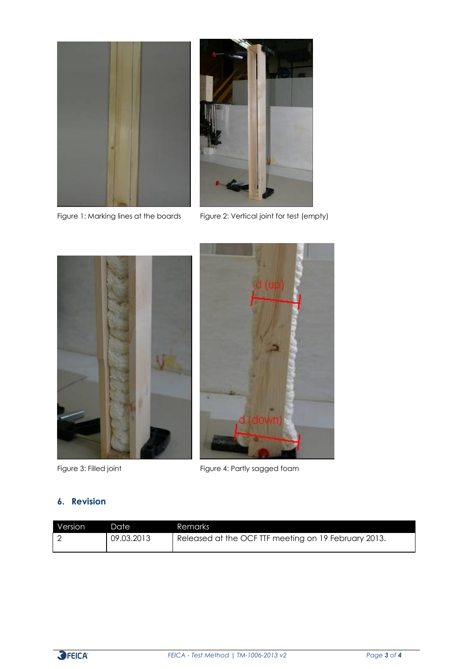



Figure 1: Marking lines at the boards Figure 2: Vertical joint for test (empty)





Figure 3: Filled joint Figure 4: Partly sagged foam

#### **6. Revision**

| Version | Date       | <b>Remarks</b>                                       |
|---------|------------|------------------------------------------------------|
|         | 09.03.2013 | Released at the OCF TTF meeting on 19 February 2013. |